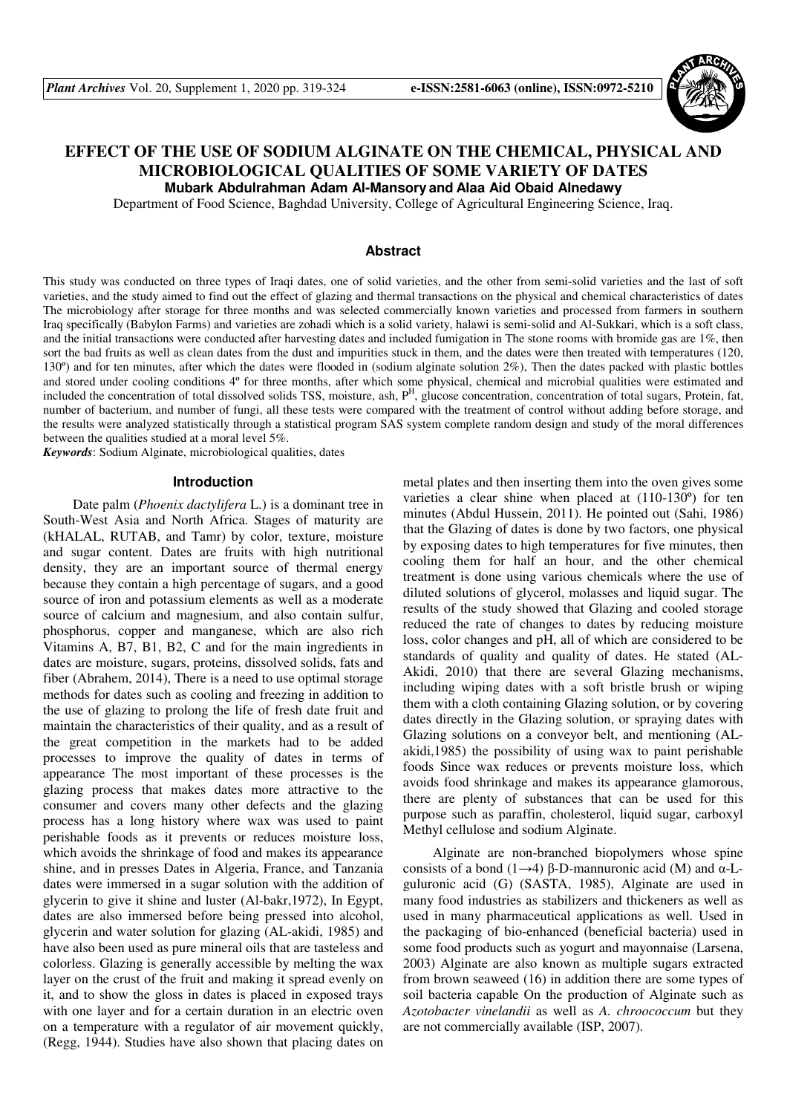

# **EFFECT OF THE USE OF SODIUM ALGINATE ON THE CHEMICAL, PHYSICAL AND MICROBIOLOGICAL QUALITIES OF SOME VARIETY OF DATES**

**Mubark Abdulrahman Adam Al-Mansory and Alaa Aid Obaid Alnedawy**

Department of Food Science, Baghdad University, College of Agricultural Engineering Science, Iraq.

## **Abstract**

This study was conducted on three types of Iraqi dates, one of solid varieties, and the other from semi-solid varieties and the last of soft varieties, and the study aimed to find out the effect of glazing and thermal transactions on the physical and chemical characteristics of dates The microbiology after storage for three months and was selected commercially known varieties and processed from farmers in southern Iraq specifically (Babylon Farms) and varieties are zohadi which is a solid variety, halawi is semi-solid and Al-Sukkari, which is a soft class, and the initial transactions were conducted after harvesting dates and included fumigation in The stone rooms with bromide gas are 1%, then sort the bad fruits as well as clean dates from the dust and impurities stuck in them, and the dates were then treated with temperatures (120, 130º) and for ten minutes, after which the dates were flooded in (sodium alginate solution 2%), Then the dates packed with plastic bottles and stored under cooling conditions 4º for three months, after which some physical, chemical and microbial qualities were estimated and included the concentration of total dissolved solids TSS, moisture, ash, P<sup>H</sup>, glucose concentration, concentration of total sugars, Protein, fat, number of bacterium, and number of fungi, all these tests were compared with the treatment of control without adding before storage, and the results were analyzed statistically through a statistical program SAS system complete random design and study of the moral differences between the qualities studied at a moral level 5%.

*Keywords*: Sodium Alginate, microbiological qualities, dates

#### **Introduction**

Date palm (*Phoenix dactylifera* L.) is a dominant tree in South-West Asia and North Africa. Stages of maturity are (kHALAL, RUTAB, and Tamr) by color, texture, moisture and sugar content. Dates are fruits with high nutritional density, they are an important source of thermal energy because they contain a high percentage of sugars, and a good source of iron and potassium elements as well as a moderate source of calcium and magnesium, and also contain sulfur, phosphorus, copper and manganese, which are also rich Vitamins A, B7, B1, B2, C and for the main ingredients in dates are moisture, sugars, proteins, dissolved solids, fats and fiber (Abrahem, 2014), There is a need to use optimal storage methods for dates such as cooling and freezing in addition to the use of glazing to prolong the life of fresh date fruit and maintain the characteristics of their quality, and as a result of the great competition in the markets had to be added processes to improve the quality of dates in terms of appearance The most important of these processes is the glazing process that makes dates more attractive to the consumer and covers many other defects and the glazing process has a long history where wax was used to paint perishable foods as it prevents or reduces moisture loss, which avoids the shrinkage of food and makes its appearance shine, and in presses Dates in Algeria, France, and Tanzania dates were immersed in a sugar solution with the addition of glycerin to give it shine and luster (Al-bakr,1972), In Egypt, dates are also immersed before being pressed into alcohol, glycerin and water solution for glazing (AL-akidi, 1985) and have also been used as pure mineral oils that are tasteless and colorless. Glazing is generally accessible by melting the wax layer on the crust of the fruit and making it spread evenly on it, and to show the gloss in dates is placed in exposed trays with one layer and for a certain duration in an electric oven on a temperature with a regulator of air movement quickly, (Regg, 1944). Studies have also shown that placing dates on metal plates and then inserting them into the oven gives some varieties a clear shine when placed at (110-130º) for ten minutes (Abdul Hussein, 2011). He pointed out (Sahi, 1986) that the Glazing of dates is done by two factors, one physical by exposing dates to high temperatures for five minutes, then cooling them for half an hour, and the other chemical treatment is done using various chemicals where the use of diluted solutions of glycerol, molasses and liquid sugar. The results of the study showed that Glazing and cooled storage reduced the rate of changes to dates by reducing moisture loss, color changes and pH, all of which are considered to be standards of quality and quality of dates. He stated (AL-Akidi, 2010) that there are several Glazing mechanisms, including wiping dates with a soft bristle brush or wiping them with a cloth containing Glazing solution, or by covering dates directly in the Glazing solution, or spraying dates with Glazing solutions on a conveyor belt, and mentioning (ALakidi,1985) the possibility of using wax to paint perishable foods Since wax reduces or prevents moisture loss, which avoids food shrinkage and makes its appearance glamorous, there are plenty of substances that can be used for this purpose such as paraffin, cholesterol, liquid sugar, carboxyl Methyl cellulose and sodium Alginate.

Alginate are non-branched biopolymers whose spine consists of a bond (1→4)  $\beta$ -D-mannuronic acid (M) and  $\alpha$ -Lguluronic acid (G) (SASTA, 1985), Alginate are used in many food industries as stabilizers and thickeners as well as used in many pharmaceutical applications as well. Used in the packaging of bio-enhanced (beneficial bacteria) used in some food products such as yogurt and mayonnaise (Larsena, 2003) Alginate are also known as multiple sugars extracted from brown seaweed (16) in addition there are some types of soil bacteria capable On the production of Alginate such as *Azotobacter vinelandii* as well as *A. chroococcum* but they are not commercially available (ISP, 2007).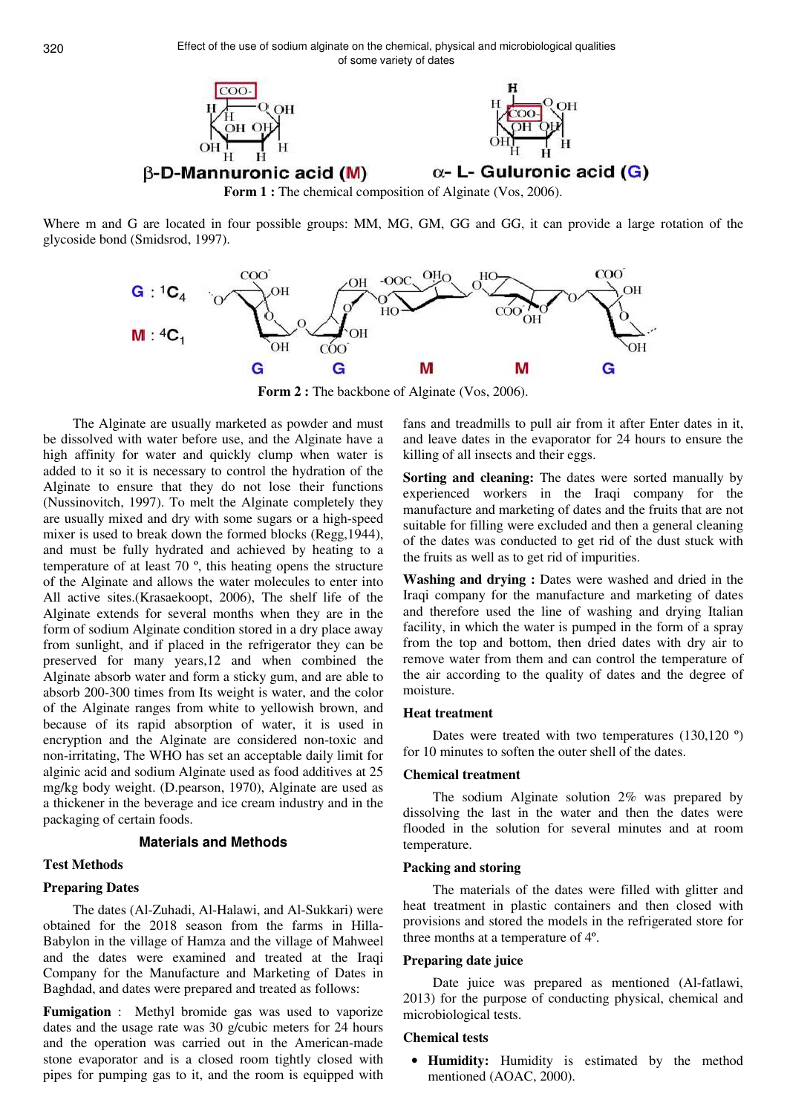

Where m and G are located in four possible groups: MM, MG, GM, GG and GG, it can provide a large rotation of the glycoside bond (Smidsrod, 1997).



**Form 2 :** The backbone of Alginate (Vos, 2006).

The Alginate are usually marketed as powder and must be dissolved with water before use, and the Alginate have a high affinity for water and quickly clump when water is added to it so it is necessary to control the hydration of the Alginate to ensure that they do not lose their functions (Nussinovitch, 1997). To melt the Alginate completely they are usually mixed and dry with some sugars or a high-speed mixer is used to break down the formed blocks (Regg,1944), and must be fully hydrated and achieved by heating to a temperature of at least 70 º, this heating opens the structure of the Alginate and allows the water molecules to enter into All active sites.(Krasaekoopt, 2006), The shelf life of the Alginate extends for several months when they are in the form of sodium Alginate condition stored in a dry place away from sunlight, and if placed in the refrigerator they can be preserved for many years,12 and when combined the Alginate absorb water and form a sticky gum, and are able to absorb 200-300 times from Its weight is water, and the color of the Alginate ranges from white to yellowish brown, and because of its rapid absorption of water, it is used in encryption and the Alginate are considered non-toxic and non-irritating, The WHO has set an acceptable daily limit for alginic acid and sodium Alginate used as food additives at 25 mg/kg body weight. (D.pearson, 1970), Alginate are used as a thickener in the beverage and ice cream industry and in the packaging of certain foods.

# **Materials and Methods**

# **Test Methods**

# **Preparing Dates**

The dates (Al-Zuhadi, Al-Halawi, and Al-Sukkari) were obtained for the 2018 season from the farms in Hilla-Babylon in the village of Hamza and the village of Mahweel and the dates were examined and treated at the Iraqi Company for the Manufacture and Marketing of Dates in Baghdad, and dates were prepared and treated as follows:

**Fumigation** : Methyl bromide gas was used to vaporize dates and the usage rate was 30 g/cubic meters for 24 hours and the operation was carried out in the American-made stone evaporator and is a closed room tightly closed with pipes for pumping gas to it, and the room is equipped with

fans and treadmills to pull air from it after Enter dates in it, and leave dates in the evaporator for 24 hours to ensure the killing of all insects and their eggs.

Sorting and cleaning: The dates were sorted manually by experienced workers in the Iraqi company for the manufacture and marketing of dates and the fruits that are not suitable for filling were excluded and then a general cleaning of the dates was conducted to get rid of the dust stuck with the fruits as well as to get rid of impurities.

**Washing and drying :** Dates were washed and dried in the Iraqi company for the manufacture and marketing of dates and therefore used the line of washing and drying Italian facility, in which the water is pumped in the form of a spray from the top and bottom, then dried dates with dry air to remove water from them and can control the temperature of the air according to the quality of dates and the degree of moisture.

## **Heat treatment**

Dates were treated with two temperatures  $(130,120)$ <sup>o</sup>) for 10 minutes to soften the outer shell of the dates.

## **Chemical treatment**

The sodium Alginate solution 2% was prepared by dissolving the last in the water and then the dates were flooded in the solution for several minutes and at room temperature.

#### **Packing and storing**

The materials of the dates were filled with glitter and heat treatment in plastic containers and then closed with provisions and stored the models in the refrigerated store for three months at a temperature of 4º.

# **Preparing date juice**

Date juice was prepared as mentioned (Al-fatlawi, 2013) for the purpose of conducting physical, chemical and microbiological tests.

# **Chemical tests**

• **Humidity:** Humidity is estimated by the method mentioned (AOAC, 2000).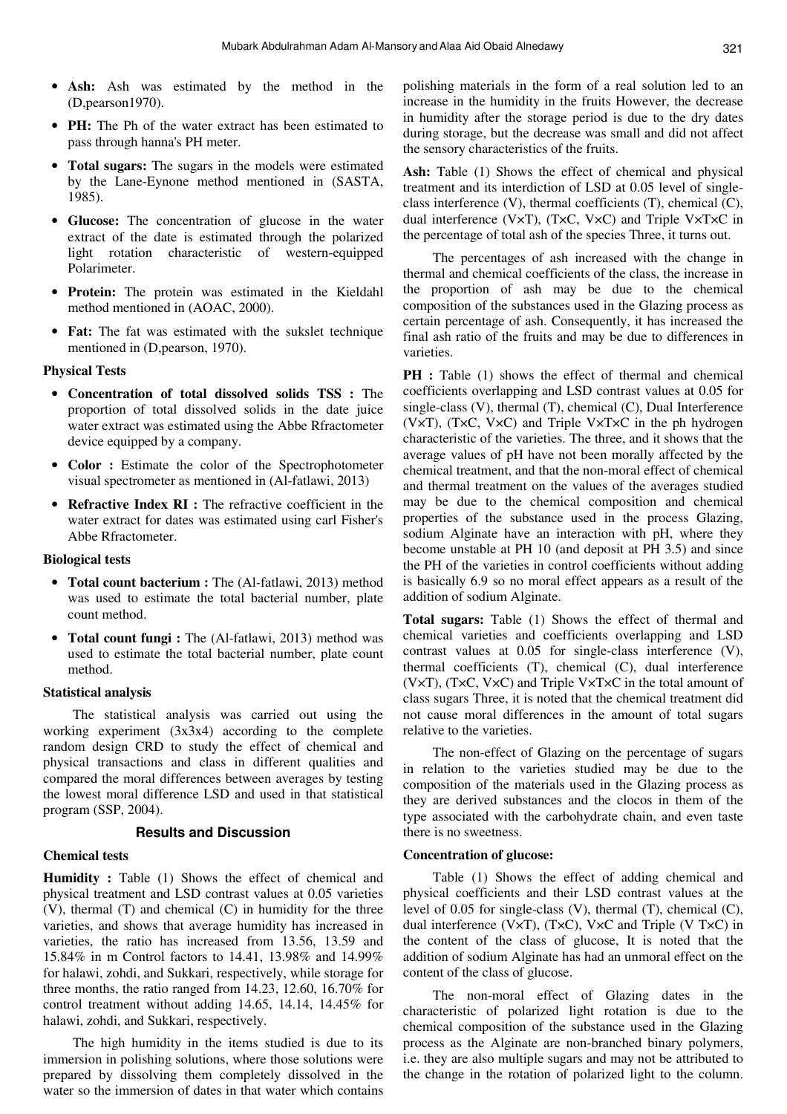- **Ash:** Ash was estimated by the method in the (D,pearson1970).
- **PH:** The Ph of the water extract has been estimated to pass through hanna's PH meter.
- **Total sugars:** The sugars in the models were estimated by the Lane-Eynone method mentioned in (SASTA, 1985).
- **Glucose:** The concentration of glucose in the water extract of the date is estimated through the polarized light rotation characteristic of western-equipped Polarimeter.
- **Protein:** The protein was estimated in the Kieldahl method mentioned in (AOAC, 2000).
- **Fat:** The fat was estimated with the sukslet technique mentioned in (D,pearson, 1970).

#### **Physical Tests**

- **Concentration of total dissolved solids TSS :** The proportion of total dissolved solids in the date juice water extract was estimated using the Abbe Rfractometer device equipped by a company.
- **Color :** Estimate the color of the Spectrophotometer visual spectrometer as mentioned in (Al-fatlawi, 2013)
- **Refractive Index RI :** The refractive coefficient in the water extract for dates was estimated using carl Fisher's Abbe Rfractometer.

#### **Biological tests**

- **Total count bacterium :** The (Al-fatlawi, 2013) method was used to estimate the total bacterial number, plate count method.
- **Total count fungi :** The (Al-fatlawi, 2013) method was used to estimate the total bacterial number, plate count method.

#### **Statistical analysis**

The statistical analysis was carried out using the working experiment (3x3x4) according to the complete random design CRD to study the effect of chemical and physical transactions and class in different qualities and compared the moral differences between averages by testing the lowest moral difference LSD and used in that statistical program (SSP, 2004).

### **Results and Discussion**

#### **Chemical tests**

**Humidity :** Table (1) Shows the effect of chemical and physical treatment and LSD contrast values at 0.05 varieties (V), thermal (T) and chemical (C) in humidity for the three varieties, and shows that average humidity has increased in varieties, the ratio has increased from 13.56, 13.59 and 15.84% in m Control factors to 14.41, 13.98% and 14.99% for halawi, zohdi, and Sukkari, respectively, while storage for three months, the ratio ranged from 14.23, 12.60, 16.70% for control treatment without adding 14.65, 14.14, 14.45% for halawi, zohdi, and Sukkari, respectively.

The high humidity in the items studied is due to its immersion in polishing solutions, where those solutions were prepared by dissolving them completely dissolved in the water so the immersion of dates in that water which contains

polishing materials in the form of a real solution led to an increase in the humidity in the fruits However, the decrease in humidity after the storage period is due to the dry dates during storage, but the decrease was small and did not affect the sensory characteristics of the fruits.

Ash: Table (1) Shows the effect of chemical and physical treatment and its interdiction of LSD at 0.05 level of singleclass interference (V), thermal coefficients (T), chemical (C), dual interference (V×T), (T×C, V×C) and Triple V×T×C in the percentage of total ash of the species Three, it turns out.

The percentages of ash increased with the change in thermal and chemical coefficients of the class, the increase in the proportion of ash may be due to the chemical composition of the substances used in the Glazing process as certain percentage of ash. Consequently, it has increased the final ash ratio of the fruits and may be due to differences in varieties.

**PH** : Table (1) shows the effect of thermal and chemical coefficients overlapping and LSD contrast values at 0.05 for single-class (V), thermal (T), chemical (C), Dual Interference (V×T), (T×C, V×C) and Triple V×T×C in the ph hydrogen characteristic of the varieties. The three, and it shows that the average values of pH have not been morally affected by the chemical treatment, and that the non-moral effect of chemical and thermal treatment on the values of the averages studied may be due to the chemical composition and chemical properties of the substance used in the process Glazing, sodium Alginate have an interaction with pH, where they become unstable at PH 10 (and deposit at PH 3.5) and since the PH of the varieties in control coefficients without adding is basically 6.9 so no moral effect appears as a result of the addition of sodium Alginate.

**Total sugars:** Table (1) Shows the effect of thermal and chemical varieties and coefficients overlapping and LSD contrast values at 0.05 for single-class interference (V), thermal coefficients (T), chemical (C), dual interference (V×T), (T×C, V×C) and Triple V×T×C in the total amount of class sugars Three, it is noted that the chemical treatment did not cause moral differences in the amount of total sugars relative to the varieties.

The non-effect of Glazing on the percentage of sugars in relation to the varieties studied may be due to the composition of the materials used in the Glazing process as they are derived substances and the clocos in them of the type associated with the carbohydrate chain, and even taste there is no sweetness.

#### **Concentration of glucose:**

Table (1) Shows the effect of adding chemical and physical coefficients and their LSD contrast values at the level of 0.05 for single-class (V), thermal (T), chemical (C), dual interference (V×T), (T×C), V×C and Triple (V T×C) in the content of the class of glucose, It is noted that the addition of sodium Alginate has had an unmoral effect on the content of the class of glucose.

The non-moral effect of Glazing dates in the characteristic of polarized light rotation is due to the chemical composition of the substance used in the Glazing process as the Alginate are non-branched binary polymers, i.e. they are also multiple sugars and may not be attributed to the change in the rotation of polarized light to the column.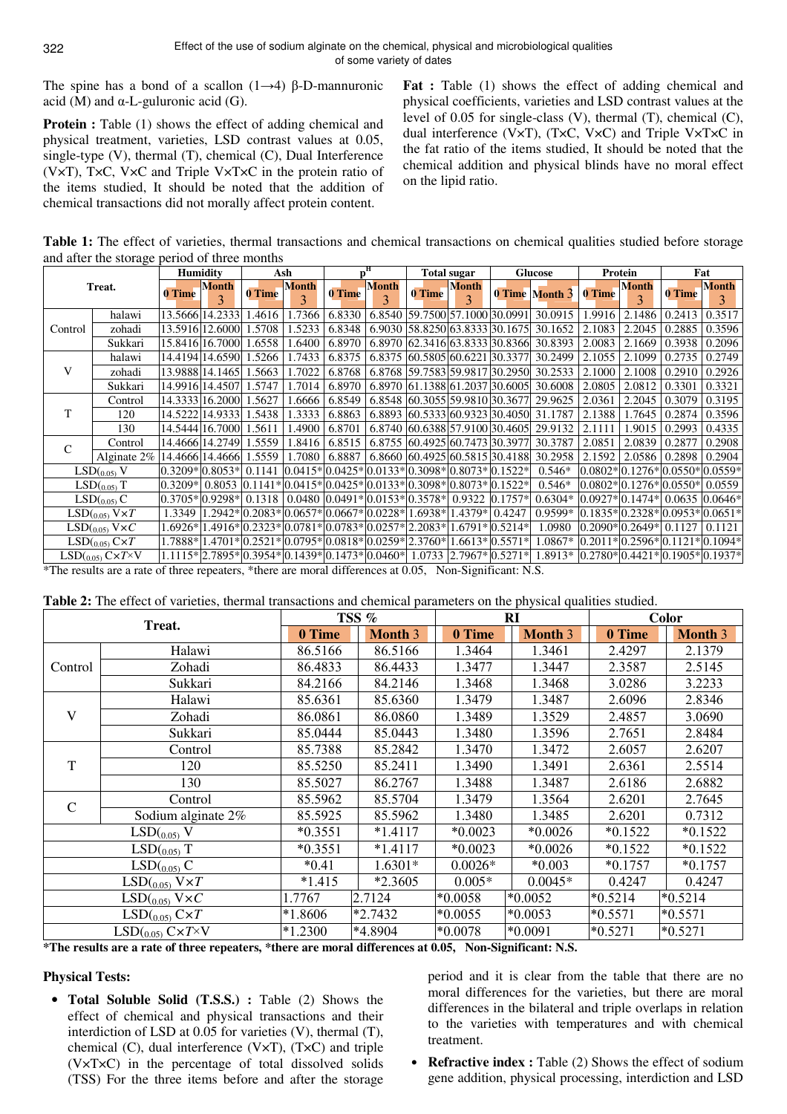The spine has a bond of a scallon  $(1\rightarrow 4)$  β-D-mannuronic acid (M) and  $\alpha$ -L-guluronic acid (G).

**Protein :** Table (1) shows the effect of adding chemical and physical treatment, varieties, LSD contrast values at 0.05, single-type (V), thermal (T), chemical (C), Dual Interference (V×T), T×C, V×C and Triple V×T×C in the protein ratio of the items studied, It should be noted that the addition of chemical transactions did not morally affect protein content.

**Fat** : Table (1) shows the effect of adding chemical and physical coefficients, varieties and LSD contrast values at the level of 0.05 for single-class (V), thermal (T), chemical (C), dual interference (V×T), (T×C, V×C) and Triple V×T×C in the fat ratio of the items studied, It should be noted that the chemical addition and physical blinds have no moral effect on the lipid ratio.

**Table 1:** The effect of varieties, thermal transactions and chemical transactions on chemical qualities studied before storage and after the storage period of three months

| Treat.                          |                | <b>Humidity</b> |                   | Ash                                             |                              | $\mathbf{p}^{\mathbf{H}}$ |              | <b>Total sugar</b>                                                      |                                         | <b>Glucose</b> |                                             | Protein             |              | Fat                              |                                   |
|---------------------------------|----------------|-----------------|-------------------|-------------------------------------------------|------------------------------|---------------------------|--------------|-------------------------------------------------------------------------|-----------------------------------------|----------------|---------------------------------------------|---------------------|--------------|----------------------------------|-----------------------------------|
|                                 |                | 0 Time          | <b>Month</b><br>3 | 0 Time                                          | <b>Month</b><br>$\mathbf{3}$ | 0 Time                    | <b>Month</b> | 0 Time                                                                  | <b>Month</b><br>$\overline{\mathbf{a}}$ |                | 0 Time Month 3                              | 0 Time              | <b>Month</b> | 0 Time                           | <b>Month</b><br>3                 |
| Control                         | halawi         |                 | 13.5666 14.2333   | 1.4616                                          | .7366                        | 6.8330                    |              |                                                                         |                                         |                | 6.8540 59.7500 57.1000 30.0991 30.0915      | 1.9916              | 2.1486       | 0.2413                           | 0.3517                            |
|                                 | zohadi         |                 | 13.5916 12.6000   | 1.5708                                          | 1.5233                       | 6.8348                    |              |                                                                         |                                         |                | 6.9030 58.8250 63.8333 30.1675 30.1652      | 2.1083              | 2.2045       | 0.2885                           | 0.3596                            |
|                                 | Sukkari        |                 | 15.8416 16.7000   | 1.6558                                          | .6400                        | 6.8970                    |              |                                                                         |                                         |                | 6.8970 62.3416 63.8333 30.8366 30.8393      | 2.0083              | 2.1669       | 0.3938                           | 0.2096                            |
|                                 | halawi         |                 | 14.4194 14.6590   | 1.5266                                          | 1.7433                       | 6.8375                    |              | 6.8375 60.5805 60.6221 30.3377                                          |                                         |                | 30.2499                                     | 2.1055              | 2.1099       | 0.2735                           | 0.2749                            |
| V                               | zohadi         |                 | 13.9888114.1465   | .5663                                           | .7022                        | 6.8768                    |              |                                                                         |                                         |                | 6.8768 59.7583 59.9817 30.2950 30.2533      | 2.1000              | 2.1008       | 0.2910                           | 0.2926                            |
|                                 | Sukkari        |                 | 14.9916 14.4507   | 1.5747                                          | .7014                        | 6.8970                    |              |                                                                         |                                         |                | 6.8970 61.1388 61.2037 30.6005 30.6008      | 2.0805              | 2.0812       | 0.3301                           | 0.3321                            |
| T                               | Control        |                 | 14.3333116.2000   | 1.5627                                          | .6666                        | 6.8549                    |              |                                                                         |                                         |                | 6.8548 60.3055 59.9810 30.3677 29.9625      | 2.0361              | 2.2045       | 0.3079                           | 0.3195                            |
|                                 | 120            | 14.5222         | 14.9333           | 1.5438                                          | .3333                        | 6.8863                    | 6.8893       |                                                                         |                                         |                | 60.5333 60.9323 30.4050 31.1787             | 2.1388              | 1.7645       | 0.2874                           | 0.3596                            |
|                                 | 130            |                 | 14.5444 16.7000   | 1.5611                                          | .4900                        | 6.8701                    |              |                                                                         |                                         |                | 6.8740 60.6388 57.9100 30.4605 29.9132      | 2.1111              | .9015        | 0.2993                           | 0.4335                            |
| $\mathcal{C}$                   | Control        |                 | 14.4666 14.2749   | 1.5559                                          | 1.8416                       | 6.8515                    |              | 6.8755 60.4925 60.7473 30.3977                                          |                                         |                | 30.3787                                     | 2.0851              | 2.0839       | 0.2877                           | 0.2908                            |
|                                 | Alginate $2\%$ |                 | 14.4666 14.4666   | 1.5559                                          | l.7080                       | 6.8887                    |              |                                                                         |                                         |                | 6.8660 60.4925 60.5815 30.4188 30.2958      | 2.1592              |              | 2.0586 0.2898                    | 0.2904                            |
|                                 | LSD(0.05) V    |                 | $0.3209*10.8053*$ | 0.1141                                          |                              |                           |              | $ 0.0415* 0.0425* 0.0133* 0.3098* 0.8073* 0.1522*$                      |                                         |                | $0.546*$                                    |                     |              |                                  | $0.0802*10.1276*10.0550*10.0559*$ |
| $LSD(0.05)$ T                   |                | $0.3209*$       | 0.8053            |                                                 |                              |                           |              | $ 0.1141* 0.0415* 0.0425* 0.0133* 0.3098* 0.8073* 0.1522*$              |                                         |                | $0.546*$                                    |                     |              | $0.0802*10.1276*10.0550*10.0559$ |                                   |
| LSD(0.05) C                     |                |                 | 10.3705*10.9298*  | 0.1318                                          |                              |                           |              | 0.0480 0.0491*0.0153*0.3578*0.9322                                      |                                         | $0.1757*$      | $0.6304*$                                   | $0.0927 * 0.1474 *$ |              |                                  | $0.063510.0646*$                  |
| $LSD(0.05)$ $V \times T$        |                | 1.3349          |                   |                                                 |                              |                           |              | $1.2942* 0.2083* 0.0657* 0.0667* 0.0228* 1.6938* 1.4379* 0.4247$        |                                         |                | 0.9599*                                     |                     |              |                                  | $0.1835*10.2328*10.0953*10.0651*$ |
| $\mathrm{LSD} _{(0.05)}$ V×C    |                | 1.6926*         |                   |                                                 |                              |                           |              | $1.4916* 0.2323* 0.0781* 0.0783* 0.0257* 2.2083* 1.6791* 0.5214*$       |                                         |                | 1.0980                                      | $0.2090*10.2649*$   |              | 0.1127                           | 0.1121                            |
| $LSD(0.05)$ $C\times T$         |                |                 |                   |                                                 |                              |                           |              | 1.7888* 1.4701* 0.2521* 0.0795* 0.0818* 0.0259* 2.3760* 1.6613* 0.5571* |                                         |                | 1.0867*                                     |                     |              |                                  | $0.2011*10.2596*10.1121*10.1094*$ |
| $LSD(0.05)$ $C\times T\times V$ |                |                 |                   | 1.1115* 2.7895* 0.3954* 0.1439* 0.1473* 0.0460* |                              |                           |              | 1.0733                                                                  | $2.7967*0.5271*$                        |                | $1.8913*  0.2780* 0.4421* 0.1905* 0.1937* $ |                     |              |                                  |                                   |

\*The results are a rate of three repeaters, \*there are moral differences at 0.05, Non-Significant: N.S.

| <b>Table 2:</b> The effect of varieties, thermal transactions and chemical parameters on the physical qualities studied. |  |
|--------------------------------------------------------------------------------------------------------------------------|--|
|--------------------------------------------------------------------------------------------------------------------------|--|

|               | Treat.                   |           | TSS %          |           | <b>RI</b> | <b>Color</b> |                |  |
|---------------|--------------------------|-----------|----------------|-----------|-----------|--------------|----------------|--|
|               |                          | 0 Time    | <b>Month 3</b> | 0 Time    | Month 3   | 0 Time       | <b>Month 3</b> |  |
|               | Halawi                   | 86.5166   | 86.5166        | 1.3464    | 1.3461    | 2.4297       | 2.1379         |  |
| Control       | Zohadi                   | 86.4833   | 86.4433        | 1.3477    | 1.3447    | 2.3587       | 2.5145         |  |
|               | Sukkari                  | 84.2166   | 84.2146        | 1.3468    | 1.3468    | 3.0286       | 3.2233         |  |
|               | Halawi                   | 85.6361   | 85.6360        | 1.3479    | 1.3487    | 2.6096       | 2.8346         |  |
| V             | Zohadi                   | 86.0861   | 86.0860        | 1.3489    | 1.3529    | 2.4857       | 3.0690         |  |
|               | Sukkari                  | 85.0444   | 85.0443        | 1.3480    | 1.3596    | 2.7651       | 2.8484         |  |
|               | Control                  | 85.7388   | 85.2842        | 1.3470    | 1.3472    | 2.6057       | 2.6207         |  |
| T             | 120                      | 85.5250   | 85.2411        | 1.3490    | 1.3491    | 2.6361       | 2.5514         |  |
|               | 130                      | 85.5027   | 86.2767        | 1.3488    | 1.3487    | 2.6186       | 2.6882         |  |
| C             | Control                  | 85.5962   | 85.5704        | 1.3479    | 1.3564    | 2.6201       | 2.7645         |  |
|               | Sodium alginate 2%       | 85.5925   | 85.5962        | 1.3480    | 1.3485    | 2.6201       | 0.7312         |  |
| $LSD(0.05)$ V |                          | $*0.3551$ | $*1.4117$      | $*0.0023$ | $*0.0026$ | $*0.1522$    | $*0.1522$      |  |
|               | $LSD(0.05)$ T            | $*0.3551$ | $*1.4117$      | $*0.0023$ | $*0.0026$ | $*0.1522$    | $*0.1522$      |  |
|               | LSD(0.05) C              | $*0.41$   | 1.6301*        | $0.0026*$ | $*0.003$  | $*0.1757$    | $*0.1757$      |  |
|               | $LSD(0.05)$ $V \times T$ | $*1.415$  | $*2.3605$      | $0.005*$  | $0.0045*$ | 0.4247       | 0.4247         |  |
|               | $LSD$ ( $_{0.05}$ ) V×C  | 1.7767    | 2.7124         | $*0.0058$ | $*0.0052$ | $*0.5214$    | $*0.5214$      |  |
|               | $LSD(0.05) C\times T$    | *1.8606   | $*2.7432$      | $*0.0055$ | $*0.0053$ | $*0.5571$    | $*0.5571$      |  |
|               | $LSD(0.05)$ C×T×V        | $*1.2300$ | *4.8904        | $*0.0078$ | $*0.0091$ | $*0.5271$    | $*0.5271$      |  |

**\*The results are a rate of three repeaters, \*there are moral differences at 0.05, Non-Significant: N.S.** 

# **Physical Tests:**

• **Total Soluble Solid (T.S.S.) :** Table (2) Shows the effect of chemical and physical transactions and their interdiction of LSD at 0.05 for varieties (V), thermal (T), chemical (C), dual interference (V×T), (T×C) and triple (V×T×C) in the percentage of total dissolved solids (TSS) For the three items before and after the storage period and it is clear from the table that there are no moral differences for the varieties, but there are moral differences in the bilateral and triple overlaps in relation to the varieties with temperatures and with chemical treatment.

• **Refractive index :** Table (2) Shows the effect of sodium gene addition, physical processing, interdiction and LSD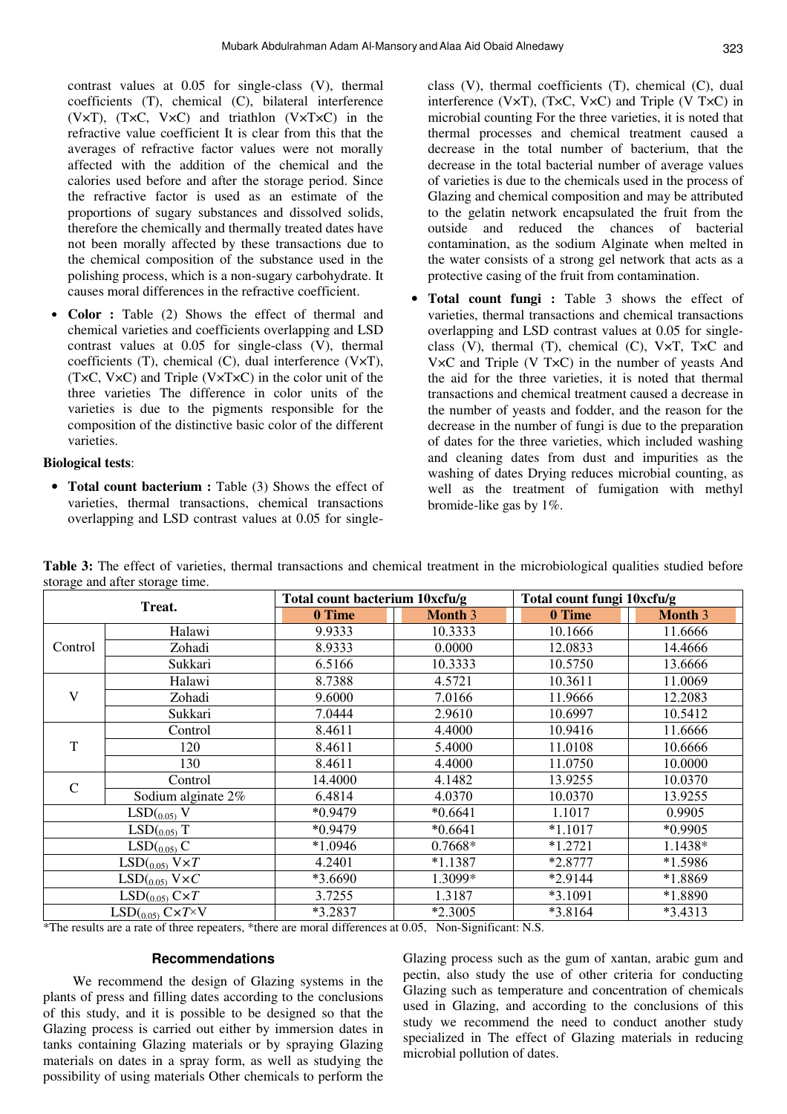contrast values at 0.05 for single-class (V), thermal coefficients (T), chemical (C), bilateral interference (V×T), (T×C, V×C) and triathlon (V×T×C) in the refractive value coefficient It is clear from this that the averages of refractive factor values were not morally affected with the addition of the chemical and the calories used before and after the storage period. Since the refractive factor is used as an estimate of the proportions of sugary substances and dissolved solids, therefore the chemically and thermally treated dates have not been morally affected by these transactions due to the chemical composition of the substance used in the polishing process, which is a non-sugary carbohydrate. It causes moral differences in the refractive coefficient.

• **Color :** Table (2) Shows the effect of thermal and chemical varieties and coefficients overlapping and LSD contrast values at 0.05 for single-class (V), thermal coefficients (T), chemical (C), dual interference (V×T), (T×C, V×C) and Triple (V×T×C) in the color unit of the three varieties The difference in color units of the varieties is due to the pigments responsible for the composition of the distinctive basic color of the different varieties.

# **Biological tests**:

• **Total count bacterium :** Table (3) Shows the effect of varieties, thermal transactions, chemical transactions overlapping and LSD contrast values at 0.05 for singleclass (V), thermal coefficients (T), chemical (C), dual interference (V×T), (T×C, V×C) and Triple (V T×C) in microbial counting For the three varieties, it is noted that thermal processes and chemical treatment caused a decrease in the total number of bacterium, that the decrease in the total bacterial number of average values of varieties is due to the chemicals used in the process of Glazing and chemical composition and may be attributed to the gelatin network encapsulated the fruit from the outside and reduced the chances of bacterial contamination, as the sodium Alginate when melted in the water consists of a strong gel network that acts as a protective casing of the fruit from contamination.

• **Total count fungi :** Table 3 shows the effect of varieties, thermal transactions and chemical transactions overlapping and LSD contrast values at 0.05 for singleclass (V), thermal (T), chemical (C), V×T, T×C and V×C and Triple (V T×C) in the number of yeasts And the aid for the three varieties, it is noted that thermal transactions and chemical treatment caused a decrease in the number of yeasts and fodder, and the reason for the decrease in the number of fungi is due to the preparation of dates for the three varieties, which included washing and cleaning dates from dust and impurities as the washing of dates Drying reduces microbial counting, as well as the treatment of fumigation with methyl bromide-like gas by 1%.

**Table 3:** The effect of varieties, thermal transactions and chemical treatment in the microbiological qualities studied before storage and after storage time.

|               | Treat.                          | Total count bacterium 10xcfu/g |                | Total count fungi 10xcfu/g |                |  |  |
|---------------|---------------------------------|--------------------------------|----------------|----------------------------|----------------|--|--|
|               |                                 | 0 Time                         | <b>Month 3</b> | 0 Time                     | <b>Month 3</b> |  |  |
|               | Halawi                          | 9.9333                         | 10.3333        | 10.1666                    | 11.6666        |  |  |
| Control       | Zohadi                          | 8.9333                         | 0.0000         | 12.0833                    | 14.4666        |  |  |
|               | Sukkari                         | 6.5166                         | 10.3333        | 10.5750                    | 13.6666        |  |  |
|               | Halawi                          | 8.7388                         | 4.5721         | 10.3611                    | 11.0069        |  |  |
| V             | Zohadi                          | 9.6000                         | 7.0166         | 11.9666                    | 12.2083        |  |  |
|               | Sukkari                         | 7.0444                         | 2.9610         | 10.6997                    | 10.5412        |  |  |
|               | Control                         | 8.4611                         | 4.4000         | 10.9416                    | 11.6666        |  |  |
| T             | 120                             | 8.4611                         | 5.4000         | 11.0108                    | 10.6666        |  |  |
|               | 130                             | 8.4611                         | 4.4000         | 11.0750                    | 10.0000        |  |  |
| $\mathcal{C}$ | Control                         | 14.4000                        | 4.1482         | 13.9255                    | 10.0370        |  |  |
|               | Sodium alginate 2%              | 6.4814                         | 4.0370         | 10.0370                    | 13.9255        |  |  |
|               | $LSD(0.05)$ V                   | $*0.9479$                      | $*0.6641$      | 1.1017                     | 0.9905         |  |  |
|               | $LSD(0.05)$ T                   | $*0.9479$                      | $*0.6641$      | $*1.1017$                  | *0.9905        |  |  |
|               | LSD(0.05) C                     | $*1.0946$                      | 0.7668*        | $*1.2721$                  | 1.1438*        |  |  |
|               | $LSD$ ( $_{0.05}$ ) $V\times T$ | 4.2401                         | $*1.1387$      | *2.8777                    | *1.5986        |  |  |
|               | $LSD(0.05)$ V×C                 | *3.6690                        | 1.3099*        | *2.9144                    | *1.8869        |  |  |
|               | $LSD(0.05)$ $C\times T$         | 3.7255                         | 1.3187         | $*3.1091$                  | *1.8890        |  |  |
|               | $LSD(0.05)$ $C\times T\times V$ | *3.2837                        | $*2.3005$      | $*3.8164$                  | $*3.4313$      |  |  |

\*The results are a rate of three repeaters, \*there are moral differences at 0.05, Non-Significant: N.S.

## **Recommendations**

We recommend the design of Glazing systems in the plants of press and filling dates according to the conclusions of this study, and it is possible to be designed so that the Glazing process is carried out either by immersion dates in tanks containing Glazing materials or by spraying Glazing materials on dates in a spray form, as well as studying the possibility of using materials Other chemicals to perform the

Glazing process such as the gum of xantan, arabic gum and pectin, also study the use of other criteria for conducting Glazing such as temperature and concentration of chemicals used in Glazing, and according to the conclusions of this study we recommend the need to conduct another study specialized in The effect of Glazing materials in reducing microbial pollution of dates.